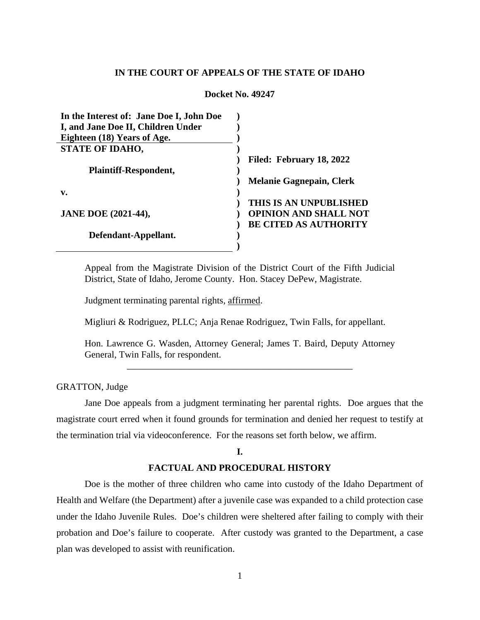# **IN THE COURT OF APPEALS OF THE STATE OF IDAHO**

#### **Docket No. 49247**

| In the Interest of: Jane Doe I, John Doe |                                 |
|------------------------------------------|---------------------------------|
| I, and Jane Doe II, Children Under       |                                 |
| Eighteen (18) Years of Age.              |                                 |
| <b>STATE OF IDAHO,</b>                   |                                 |
|                                          | Filed: February 18, 2022        |
| Plaintiff-Respondent,                    |                                 |
|                                          | <b>Melanie Gagnepain, Clerk</b> |
| v.                                       |                                 |
|                                          | THIS IS AN UNPUBLISHED          |
| <b>JANE DOE (2021-44),</b>               | <b>OPINION AND SHALL NOT</b>    |
|                                          | <b>BE CITED AS AUTHORITY</b>    |
| Defendant-Appellant.                     |                                 |
|                                          |                                 |
|                                          |                                 |

Appeal from the Magistrate Division of the District Court of the Fifth Judicial District, State of Idaho, Jerome County. Hon. Stacey DePew, Magistrate.

Judgment terminating parental rights, affirmed.

Migliuri & Rodriguez, PLLC; Anja Renae Rodriguez, Twin Falls, for appellant.

Hon. Lawrence G. Wasden, Attorney General; James T. Baird, Deputy Attorney General, Twin Falls, for respondent.

\_\_\_\_\_\_\_\_\_\_\_\_\_\_\_\_\_\_\_\_\_\_\_\_\_\_\_\_\_\_\_\_\_\_\_\_\_\_\_\_\_\_\_\_\_\_\_\_

## GRATTON, Judge

Jane Doe appeals from a judgment terminating her parental rights. Doe argues that the magistrate court erred when it found grounds for termination and denied her request to testify at the termination trial via videoconference. For the reasons set forth below, we affirm.

### **I.**

#### **FACTUAL AND PROCEDURAL HISTORY**

Doe is the mother of three children who came into custody of the Idaho Department of Health and Welfare (the Department) after a juvenile case was expanded to a child protection case under the Idaho Juvenile Rules. Doe's children were sheltered after failing to comply with their probation and Doe's failure to cooperate. After custody was granted to the Department, a case plan was developed to assist with reunification.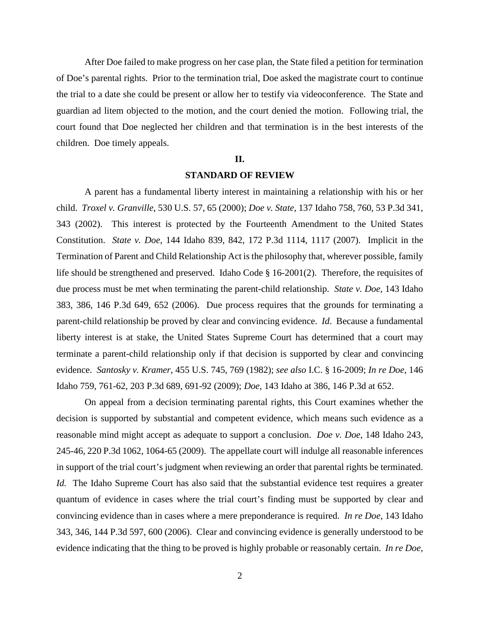After Doe failed to make progress on her case plan, the State filed a petition for termination of Doe's parental rights. Prior to the termination trial, Doe asked the magistrate court to continue the trial to a date she could be present or allow her to testify via videoconference. The State and guardian ad litem objected to the motion, and the court denied the motion. Following trial, the court found that Doe neglected her children and that termination is in the best interests of the children. Doe timely appeals.

# **II.**

#### **STANDARD OF REVIEW**

A parent has a fundamental liberty interest in maintaining a relationship with his or her child. *Troxel v. Granville*, 530 U.S. 57, 65 (2000); *Doe v. State*, 137 Idaho 758, 760, 53 P.3d 341, 343 (2002). This interest is protected by the Fourteenth Amendment to the United States Constitution. *State v. Doe*, 144 Idaho 839, 842, 172 P.3d 1114, 1117 (2007). Implicit in the Termination of Parent and Child Relationship Act is the philosophy that, wherever possible, family life should be strengthened and preserved. Idaho Code  $\S$  16-2001(2). Therefore, the requisites of due process must be met when terminating the parent-child relationship. *State v. Doe*, 143 Idaho 383, 386, 146 P.3d 649, 652 (2006). Due process requires that the grounds for terminating a parent-child relationship be proved by clear and convincing evidence. *Id*. Because a fundamental liberty interest is at stake, the United States Supreme Court has determined that a court may terminate a parent-child relationship only if that decision is supported by clear and convincing evidence. *Santosky v. Kramer*, 455 U.S. 745, 769 (1982); *see also* I.C. § 16-2009; *In re Doe*, 146 Idaho 759, 761-62, 203 P.3d 689, 691-92 (2009); *Doe*, 143 Idaho at 386, 146 P.3d at 652.

On appeal from a decision terminating parental rights, this Court examines whether the decision is supported by substantial and competent evidence, which means such evidence as a reasonable mind might accept as adequate to support a conclusion. *Doe v. Doe*, 148 Idaho 243, 245-46, 220 P.3d 1062, 1064-65 (2009). The appellate court will indulge all reasonable inferences in support of the trial court's judgment when reviewing an order that parental rights be terminated. *Id.* The Idaho Supreme Court has also said that the substantial evidence test requires a greater quantum of evidence in cases where the trial court's finding must be supported by clear and convincing evidence than in cases where a mere preponderance is required. *In re Doe*, 143 Idaho 343, 346, 144 P.3d 597, 600 (2006). Clear and convincing evidence is generally understood to be evidence indicating that the thing to be proved is highly probable or reasonably certain. *In re Doe*,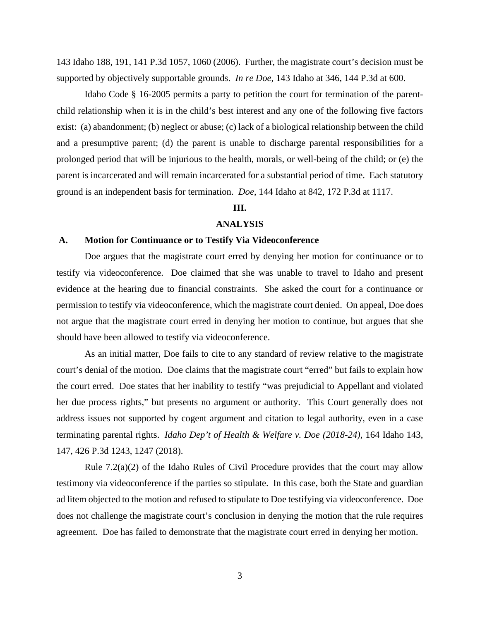143 Idaho 188, 191, 141 P.3d 1057, 1060 (2006). Further, the magistrate court's decision must be supported by objectively supportable grounds. *In re Doe*, 143 Idaho at 346, 144 P.3d at 600.

Idaho Code § 16-2005 permits a party to petition the court for termination of the parentchild relationship when it is in the child's best interest and any one of the following five factors exist: (a) abandonment; (b) neglect or abuse; (c) lack of a biological relationship between the child and a presumptive parent; (d) the parent is unable to discharge parental responsibilities for a prolonged period that will be injurious to the health, morals, or well-being of the child; or (e) the parent is incarcerated and will remain incarcerated for a substantial period of time. Each statutory ground is an independent basis for termination. *Doe*, 144 Idaho at 842, 172 P.3d at 1117.

# **III.**

# **ANALYSIS**

#### **A. Motion for Continuance or to Testify Via Videoconference**

Doe argues that the magistrate court erred by denying her motion for continuance or to testify via videoconference. Doe claimed that she was unable to travel to Idaho and present evidence at the hearing due to financial constraints. She asked the court for a continuance or permission to testify via videoconference, which the magistrate court denied. On appeal, Doe does not argue that the magistrate court erred in denying her motion to continue, but argues that she should have been allowed to testify via videoconference.

As an initial matter, Doe fails to cite to any standard of review relative to the magistrate court's denial of the motion. Doe claims that the magistrate court "erred" but fails to explain how the court erred. Doe states that her inability to testify "was prejudicial to Appellant and violated her due process rights," but presents no argument or authority. This Court generally does not address issues not supported by cogent argument and citation to legal authority, even in a case terminating parental rights. *Idaho Dep't of Health & Welfare v. Doe (2018-24)*, 164 Idaho 143, 147, 426 P.3d 1243, 1247 (2018).

Rule  $7.2(a)(2)$  of the Idaho Rules of Civil Procedure provides that the court may allow testimony via videoconference if the parties so stipulate. In this case, both the State and guardian ad litem objected to the motion and refused to stipulate to Doe testifying via videoconference. Doe does not challenge the magistrate court's conclusion in denying the motion that the rule requires agreement. Doe has failed to demonstrate that the magistrate court erred in denying her motion.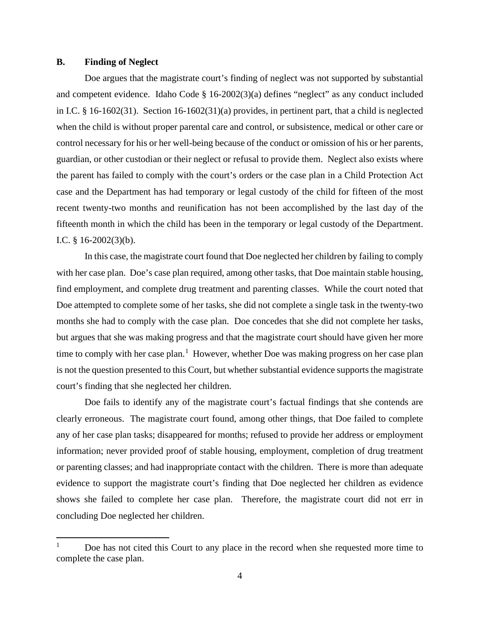## **B. Finding of Neglect**

Doe argues that the magistrate court's finding of neglect was not supported by substantial and competent evidence. Idaho Code § 16-2002(3)(a) defines "neglect" as any conduct included in I.C. § 16-1602(31). Section 16-1602(31)(a) provides, in pertinent part, that a child is neglected when the child is without proper parental care and control, or subsistence, medical or other care or control necessary for his or her well-being because of the conduct or omission of his or her parents, guardian, or other custodian or their neglect or refusal to provide them. Neglect also exists where the parent has failed to comply with the court's orders or the case plan in a Child Protection Act case and the Department has had temporary or legal custody of the child for fifteen of the most recent twenty-two months and reunification has not been accomplished by the last day of the fifteenth month in which the child has been in the temporary or legal custody of the Department. I.C. § 16-2002(3)(b).

In this case, the magistrate court found that Doe neglected her children by failing to comply with her case plan. Doe's case plan required, among other tasks, that Doe maintain stable housing, find employment, and complete drug treatment and parenting classes. While the court noted that Doe attempted to complete some of her tasks, she did not complete a single task in the twenty-two months she had to comply with the case plan. Doe concedes that she did not complete her tasks, but argues that she was making progress and that the magistrate court should have given her more time to comply with her case plan.<sup>[1](#page-3-0)</sup> However, whether Doe was making progress on her case plan is not the question presented to this Court, but whether substantial evidence supports the magistrate court's finding that she neglected her children.

Doe fails to identify any of the magistrate court's factual findings that she contends are clearly erroneous. The magistrate court found, among other things, that Doe failed to complete any of her case plan tasks; disappeared for months; refused to provide her address or employment information; never provided proof of stable housing, employment, completion of drug treatment or parenting classes; and had inappropriate contact with the children. There is more than adequate evidence to support the magistrate court's finding that Doe neglected her children as evidence shows she failed to complete her case plan. Therefore, the magistrate court did not err in concluding Doe neglected her children.

<span id="page-3-0"></span><sup>1</sup> Doe has not cited this Court to any place in the record when she requested more time to complete the case plan.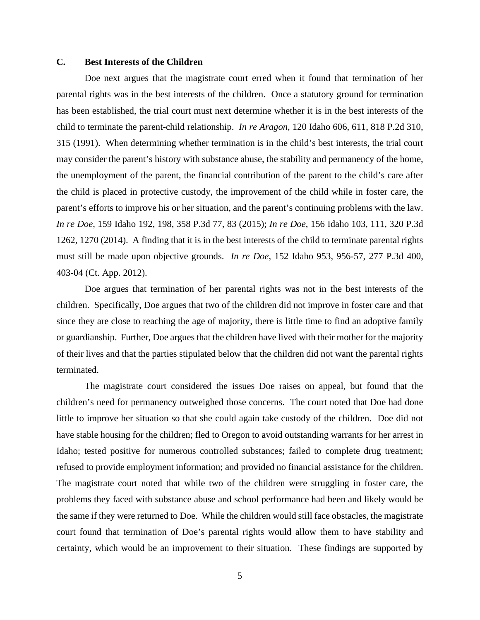# **C. Best Interests of the Children**

Doe next argues that the magistrate court erred when it found that termination of her parental rights was in the best interests of the children. Once a statutory ground for termination has been established, the trial court must next determine whether it is in the best interests of the child to terminate the parent-child relationship. *In re Aragon*, 120 Idaho 606, 611, 818 P.2d 310, 315 (1991). When determining whether termination is in the child's best interests, the trial court may consider the parent's history with substance abuse, the stability and permanency of the home, the unemployment of the parent, the financial contribution of the parent to the child's care after the child is placed in protective custody, the improvement of the child while in foster care, the parent's efforts to improve his or her situation, and the parent's continuing problems with the law. *In re Doe*, 159 Idaho 192, 198, 358 P.3d 77, 83 (2015); *In re Doe*, 156 Idaho 103, 111, 320 P.3d 1262, 1270 (2014). A finding that it is in the best interests of the child to terminate parental rights must still be made upon objective grounds. *In re Doe*, 152 Idaho 953, 956-57, 277 P.3d 400, 403-04 (Ct. App. 2012).

Doe argues that termination of her parental rights was not in the best interests of the children. Specifically, Doe argues that two of the children did not improve in foster care and that since they are close to reaching the age of majority, there is little time to find an adoptive family or guardianship. Further, Doe argues that the children have lived with their mother for the majority of their lives and that the parties stipulated below that the children did not want the parental rights terminated.

The magistrate court considered the issues Doe raises on appeal, but found that the children's need for permanency outweighed those concerns. The court noted that Doe had done little to improve her situation so that she could again take custody of the children. Doe did not have stable housing for the children; fled to Oregon to avoid outstanding warrants for her arrest in Idaho; tested positive for numerous controlled substances; failed to complete drug treatment; refused to provide employment information; and provided no financial assistance for the children. The magistrate court noted that while two of the children were struggling in foster care, the problems they faced with substance abuse and school performance had been and likely would be the same if they were returned to Doe. While the children would still face obstacles, the magistrate court found that termination of Doe's parental rights would allow them to have stability and certainty, which would be an improvement to their situation. These findings are supported by